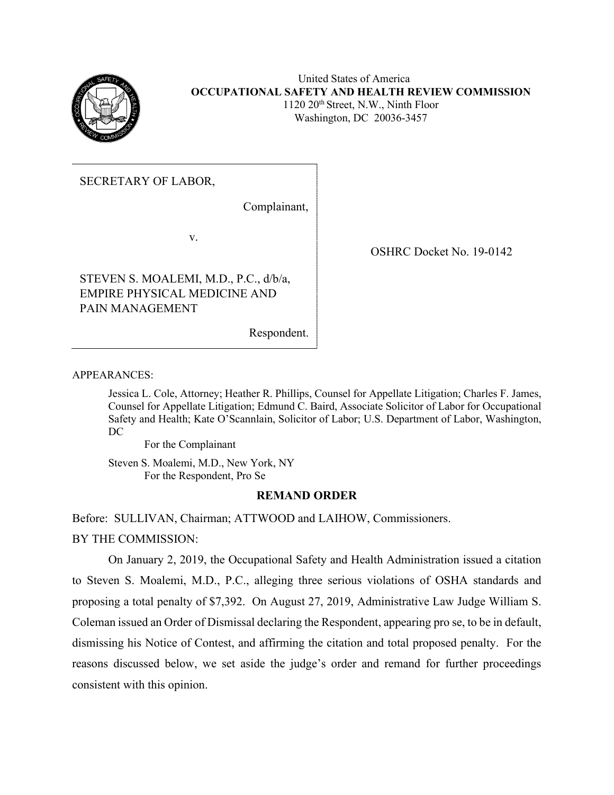

United States of America **OCCUPATIONAL SAFETY AND HEALTH REVIEW COMMISSION** 1120 20th Street, N.W., Ninth Floor Washington, DC 20036-3457

# SECRETARY OF LABOR,

Complainant,

v.

STEVEN S. MOALEMI, M.D., P.C., d/b/a, EMPIRE PHYSICAL MEDICINE AND PAIN MANAGEMENT

Respondent.

OSHRC Docket No. 19-0142

APPEARANCES:

Jessica L. Cole, Attorney; Heather R. Phillips, Counsel for Appellate Litigation; Charles F. James, Counsel for Appellate Litigation; Edmund C. Baird, Associate Solicitor of Labor for Occupational Safety and Health; Kate O'Scannlain, Solicitor of Labor; U.S. Department of Labor, Washington, DC

For the Complainant

Steven S. Moalemi, M.D., New York, NY For the Respondent, Pro Se

## **REMAND ORDER**

Before: SULLIVAN, Chairman; ATTWOOD and LAIHOW, Commissioners. BY THE COMMISSION:

On January 2, 2019, the Occupational Safety and Health Administration issued a citation to Steven S. Moalemi, M.D., P.C., alleging three serious violations of OSHA standards and proposing a total penalty of \$7,392. On August 27, 2019, Administrative Law Judge William S. Coleman issued an Order of Dismissal declaring the Respondent, appearing pro se, to be in default, dismissing his Notice of Contest, and affirming the citation and total proposed penalty. For the reasons discussed below, we set aside the judge's order and remand for further proceedings consistent with this opinion.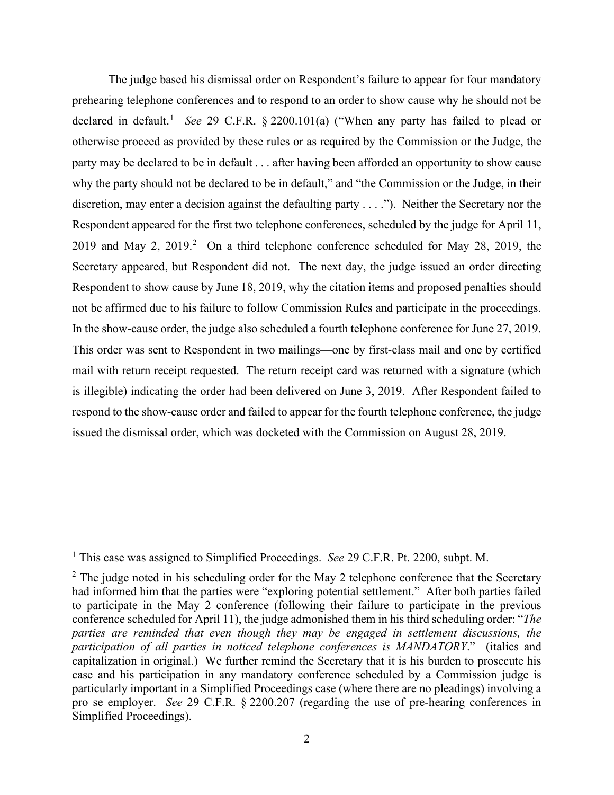The judge based his dismissal order on Respondent's failure to appear for four mandatory prehearing telephone conferences and to respond to an order to show cause why he should not be declared in default.<sup>[1](#page-1-0)</sup> See 29 C.F.R. § 2200.101(a) ("When any party has failed to plead or otherwise proceed as provided by these rules or as required by the Commission or the Judge, the party may be declared to be in default . . . after having been afforded an opportunity to show cause why the party should not be declared to be in default," and "the Commission or the Judge, in their discretion, may enter a decision against the defaulting party . . . ."). Neither the Secretary nor the Respondent appeared for the first two telephone conferences, scheduled by the judge for April 11, [2](#page-1-1)019 and May 2, 2019.<sup>2</sup> On a third telephone conference scheduled for May 28, 2019, the Secretary appeared, but Respondent did not. The next day, the judge issued an order directing Respondent to show cause by June 18, 2019, why the citation items and proposed penalties should not be affirmed due to his failure to follow Commission Rules and participate in the proceedings. In the show-cause order, the judge also scheduled a fourth telephone conference for June 27, 2019. This order was sent to Respondent in two mailings—one by first-class mail and one by certified mail with return receipt requested. The return receipt card was returned with a signature (which is illegible) indicating the order had been delivered on June 3, 2019. After Respondent failed to respond to the show-cause order and failed to appear for the fourth telephone conference, the judge issued the dismissal order, which was docketed with the Commission on August 28, 2019.

<span id="page-1-0"></span><sup>1</sup> This case was assigned to Simplified Proceedings. *See* 29 C.F.R. Pt. 2200, subpt. M.

<span id="page-1-1"></span> $2$  The judge noted in his scheduling order for the May 2 telephone conference that the Secretary had informed him that the parties were "exploring potential settlement." After both parties failed to participate in the May 2 conference (following their failure to participate in the previous conference scheduled for April 11), the judge admonished them in his third scheduling order: "*The parties are reminded that even though they may be engaged in settlement discussions, the participation of all parties in noticed telephone conferences is MANDATORY*." (italics and capitalization in original.) We further remind the Secretary that it is his burden to prosecute his case and his participation in any mandatory conference scheduled by a Commission judge is particularly important in a Simplified Proceedings case (where there are no pleadings) involving a pro se employer. *See* 29 C.F.R. § 2200.207 (regarding the use of pre-hearing conferences in Simplified Proceedings).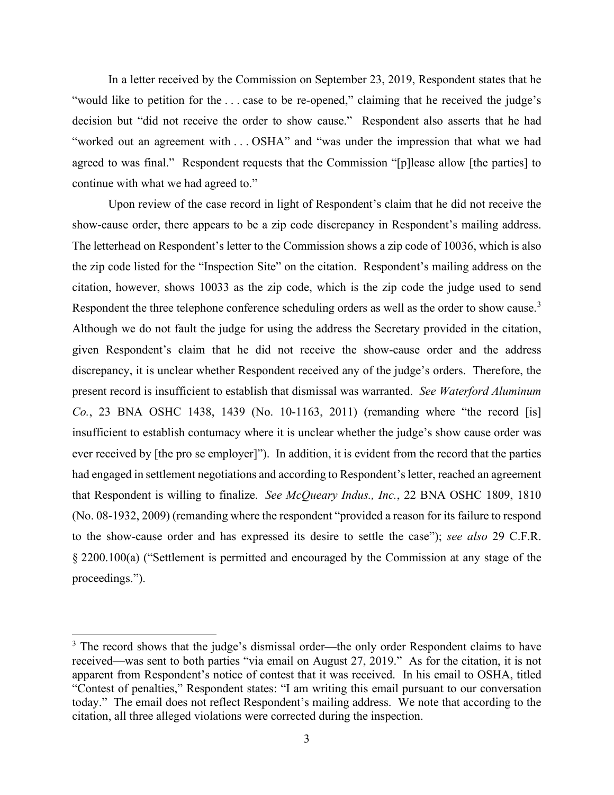In a letter received by the Commission on September 23, 2019, Respondent states that he "would like to petition for the ... case to be re-opened," claiming that he received the judge's decision but "did not receive the order to show cause." Respondent also asserts that he had "worked out an agreement with . . . OSHA" and "was under the impression that what we had agreed to was final." Respondent requests that the Commission "[p]lease allow [the parties] to continue with what we had agreed to."

Upon review of the case record in light of Respondent's claim that he did not receive the show-cause order, there appears to be a zip code discrepancy in Respondent's mailing address. The letterhead on Respondent's letter to the Commission shows a zip code of 10036, which is also the zip code listed for the "Inspection Site" on the citation. Respondent's mailing address on the citation, however, shows 10033 as the zip code, which is the zip code the judge used to send Respondent the three telephone conference scheduling orders as well as the order to show cause.<sup>[3](#page-2-0)</sup> Although we do not fault the judge for using the address the Secretary provided in the citation, given Respondent's claim that he did not receive the show-cause order and the address discrepancy, it is unclear whether Respondent received any of the judge's orders. Therefore, the present record is insufficient to establish that dismissal was warranted. *See Waterford Aluminum Co.*, 23 BNA OSHC 1438, 1439 (No. 10-1163, 2011) (remanding where "the record [is] insufficient to establish contumacy where it is unclear whether the judge's show cause order was ever received by [the pro se employer]"). In addition, it is evident from the record that the parties had engaged in settlement negotiations and according to Respondent's letter, reached an agreement that Respondent is willing to finalize. *See McQueary Indus., Inc.*, 22 BNA OSHC 1809, 1810 (No. 08-1932, 2009) (remanding where the respondent "provided a reason for its failure to respond to the show-cause order and has expressed its desire to settle the case"); *see also* 29 C.F.R. § 2200.100(a) ("Settlement is permitted and encouraged by the Commission at any stage of the proceedings.").

<span id="page-2-0"></span><sup>&</sup>lt;sup>3</sup> The record shows that the judge's dismissal order—the only order Respondent claims to have received—was sent to both parties "via email on August 27, 2019." As for the citation, it is not apparent from Respondent's notice of contest that it was received. In his email to OSHA, titled "Contest of penalties," Respondent states: "I am writing this email pursuant to our conversation today." The email does not reflect Respondent's mailing address. We note that according to the citation, all three alleged violations were corrected during the inspection.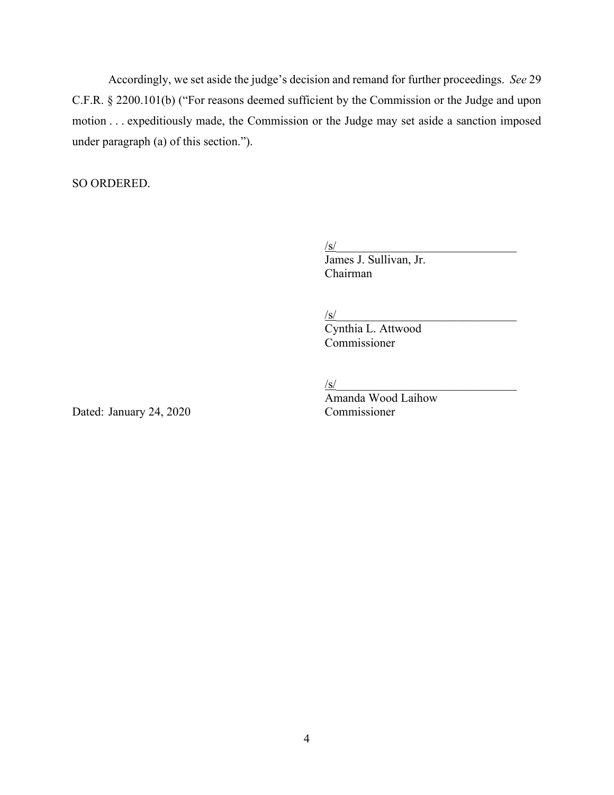Accordingly, we set aside the judge's decision and remand for further proceedings. *See* 29 C.F.R. § 2200.101(b) ("For reasons deemed sufficient by the Commission or the Judge and upon motion . . . expeditiously made, the Commission or the Judge may set aside a sanction imposed under paragraph (a) of this section.").

SO ORDERED.

 $\sqrt{\text{s}}$ /

 James J. Sullivan, Jr. Chairman

 $\sqrt{\text{s}}$ /

Cynthia L. Attwood Commissioner

 $\sqrt{\text{s}}$ /

Amanda Wood Laihow

Dated: January 24, 2020 Commissioner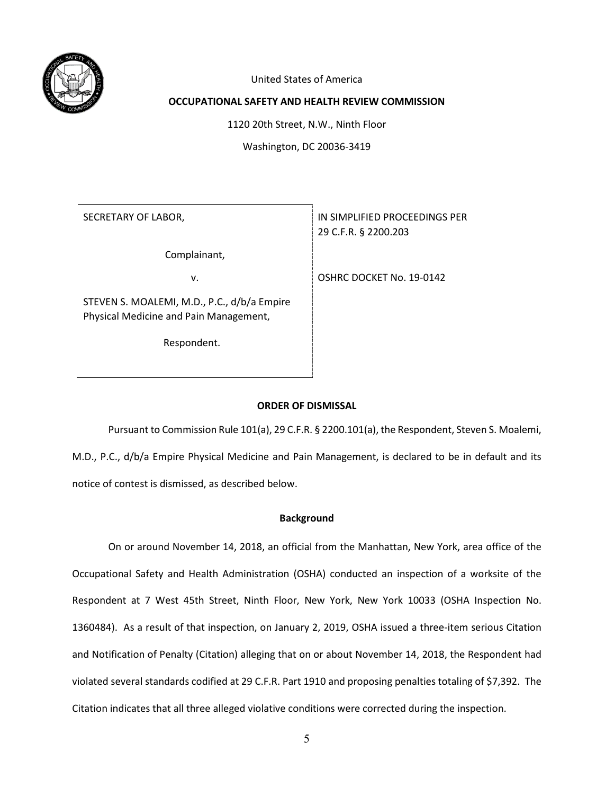

United States of America

## **OCCUPATIONAL SAFETY AND HEALTH REVIEW COMMISSION**

1120 20th Street, N.W., Ninth Floor

Washington, DC 20036-3419

Complainant,

STEVEN S. MOALEMI, M.D., P.C., d/b/a Empire Physical Medicine and Pain Management,

Respondent.

SECRETARY OF LABOR, **IN SIMPLIFIED PROCEEDINGS PER** 29 C.F.R. § 2200.203

v. Same School of the South Contract Contract of the USA Contract of the MC 20142

### **ORDER OF DISMISSAL**

Pursuant to Commission Rule 101(a), 29 C.F.R. § 2200.101(a), the Respondent, Steven S. Moalemi, M.D., P.C., d/b/a Empire Physical Medicine and Pain Management, is declared to be in default and its notice of contest is dismissed, as described below.

### **Background**

On or around November 14, 2018, an official from the Manhattan, New York, area office of the Occupational Safety and Health Administration (OSHA) conducted an inspection of a worksite of the Respondent at 7 West 45th Street, Ninth Floor, New York, New York 10033 (OSHA Inspection No. 1360484). As a result of that inspection, on January 2, 2019, OSHA issued a three-item serious Citation and Notification of Penalty (Citation) alleging that on or about November 14, 2018, the Respondent had violated several standards codified at 29 C.F.R. Part 1910 and proposing penalties totaling of \$7,392. The Citation indicates that all three alleged violative conditions were corrected during the inspection.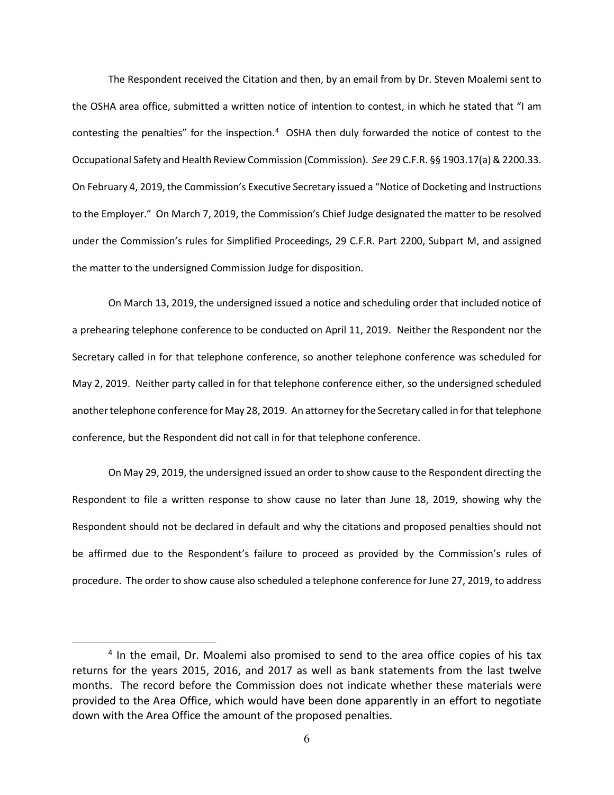The Respondent received the Citation and then, by an email from by Dr. Steven Moalemi sent to the OSHA area office, submitted a written notice of intention to contest, in which he stated that "I am contesting the penalties" for the inspection.<sup>[4](#page-5-0)</sup> OSHA then duly forwarded the notice of contest to the Occupational Safety and Health Review Commission (Commission). *See* 29 C.F.R. §§ 1903.17(a) & 2200.33. On February 4, 2019, the Commission's Executive Secretary issued a "Notice of Docketing and Instructions to the Employer." On March 7, 2019, the Commission's Chief Judge designated the matter to be resolved under the Commission's rules for Simplified Proceedings, 29 C.F.R. Part 2200, Subpart M, and assigned the matter to the undersigned Commission Judge for disposition.

On March 13, 2019, the undersigned issued a notice and scheduling order that included notice of a prehearing telephone conference to be conducted on April 11, 2019. Neither the Respondent nor the Secretary called in for that telephone conference, so another telephone conference was scheduled for May 2, 2019. Neither party called in for that telephone conference either, so the undersigned scheduled another telephone conference for May 28, 2019. An attorney for the Secretary called in for that telephone conference, but the Respondent did not call in for that telephone conference.

On May 29, 2019, the undersigned issued an order to show cause to the Respondent directing the Respondent to file a written response to show cause no later than June 18, 2019, showing why the Respondent should not be declared in default and why the citations and proposed penalties should not be affirmed due to the Respondent's failure to proceed as provided by the Commission's rules of procedure. The order to show cause also scheduled a telephone conference for June 27, 2019, to address

<span id="page-5-0"></span><sup>&</sup>lt;sup>4</sup> In the email, Dr. Moalemi also promised to send to the area office copies of his tax returns for the years 2015, 2016, and 2017 as well as bank statements from the last twelve months. The record before the Commission does not indicate whether these materials were provided to the Area Office, which would have been done apparently in an effort to negotiate down with the Area Office the amount of the proposed penalties.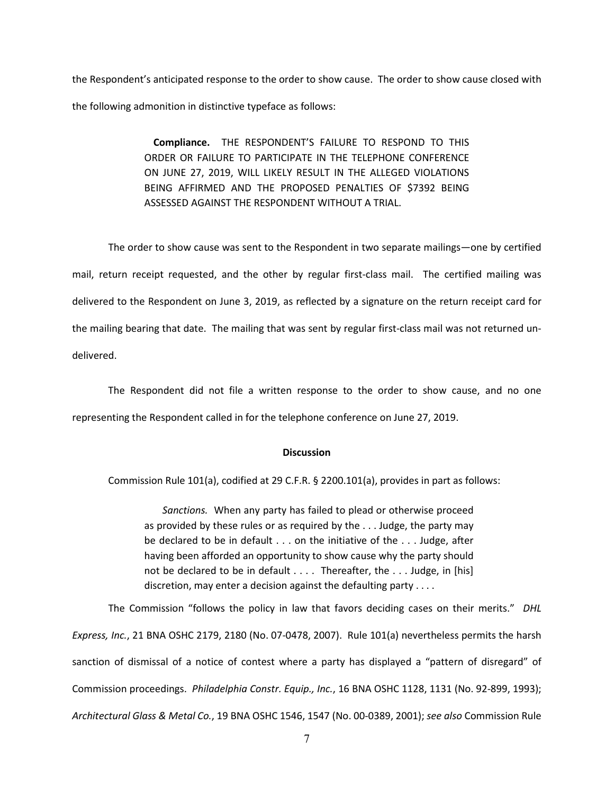the Respondent's anticipated response to the order to show cause. The order to show cause closed with the following admonition in distinctive typeface as follows:

> **Compliance.** THE RESPONDENT'S FAILURE TO RESPOND TO THIS ORDER OR FAILURE TO PARTICIPATE IN THE TELEPHONE CONFERENCE ON JUNE 27, 2019, WILL LIKELY RESULT IN THE ALLEGED VIOLATIONS BEING AFFIRMED AND THE PROPOSED PENALTIES OF \$7392 BEING ASSESSED AGAINST THE RESPONDENT WITHOUT A TRIAL.

The order to show cause was sent to the Respondent in two separate mailings—one by certified mail, return receipt requested, and the other by regular first-class mail. The certified mailing was delivered to the Respondent on June 3, 2019, as reflected by a signature on the return receipt card for the mailing bearing that date. The mailing that was sent by regular first-class mail was not returned undelivered.

The Respondent did not file a written response to the order to show cause, and no one representing the Respondent called in for the telephone conference on June 27, 2019.

#### **Discussion**

Commission Rule 101(a), codified at 29 C.F.R. § 2200.101(a), provides in part as follows:

*Sanctions.* When any party has failed to plead or otherwise proceed as provided by these rules or as required by the . . . Judge, the party may be declared to be in default . . . on the initiative of the . . . Judge, after having been afforded an opportunity to show cause why the party should not be declared to be in default . . . . Thereafter, the . . . Judge, in [his] discretion, may enter a decision against the defaulting party  $\dots$ 

The Commission "follows the policy in law that favors deciding cases on their merits." *DHL Express, Inc.*, 21 BNA OSHC 2179, 2180 (No. 07-0478, 2007). Rule 101(a) nevertheless permits the harsh sanction of dismissal of a notice of contest where a party has displayed a "pattern of disregard" of Commission proceedings. *Philadelphia Constr. Equip., Inc.*, 16 BNA OSHC 1128, 1131 (No. 92-899, 1993); *Architectural Glass & Metal Co.*, 19 BNA OSHC 1546, 1547 (No. 00-0389, 2001); *see also* Commission Rule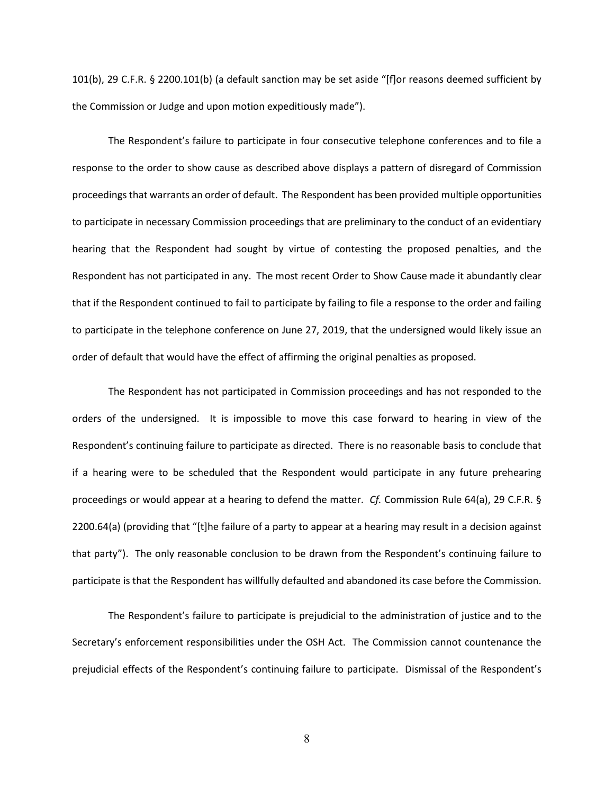101(b), 29 C.F.R. § 2200.101(b) (a default sanction may be set aside "[f]or reasons deemed sufficient by the Commission or Judge and upon motion expeditiously made").

The Respondent's failure to participate in four consecutive telephone conferences and to file a response to the order to show cause as described above displays a pattern of disregard of Commission proceedings that warrants an order of default. The Respondent has been provided multiple opportunities to participate in necessary Commission proceedings that are preliminary to the conduct of an evidentiary hearing that the Respondent had sought by virtue of contesting the proposed penalties, and the Respondent has not participated in any. The most recent Order to Show Cause made it abundantly clear that if the Respondent continued to fail to participate by failing to file a response to the order and failing to participate in the telephone conference on June 27, 2019, that the undersigned would likely issue an order of default that would have the effect of affirming the original penalties as proposed.

The Respondent has not participated in Commission proceedings and has not responded to the orders of the undersigned. It is impossible to move this case forward to hearing in view of the Respondent's continuing failure to participate as directed. There is no reasonable basis to conclude that if a hearing were to be scheduled that the Respondent would participate in any future prehearing proceedings or would appear at a hearing to defend the matter. *Cf.* Commission Rule 64(a), 29 C.F.R. § 2200.64(a) (providing that "[t]he failure of a party to appear at a hearing may result in a decision against that party"). The only reasonable conclusion to be drawn from the Respondent's continuing failure to participate is that the Respondent has willfully defaulted and abandoned its case before the Commission.

The Respondent's failure to participate is prejudicial to the administration of justice and to the Secretary's enforcement responsibilities under the OSH Act. The Commission cannot countenance the prejudicial effects of the Respondent's continuing failure to participate. Dismissal of the Respondent's